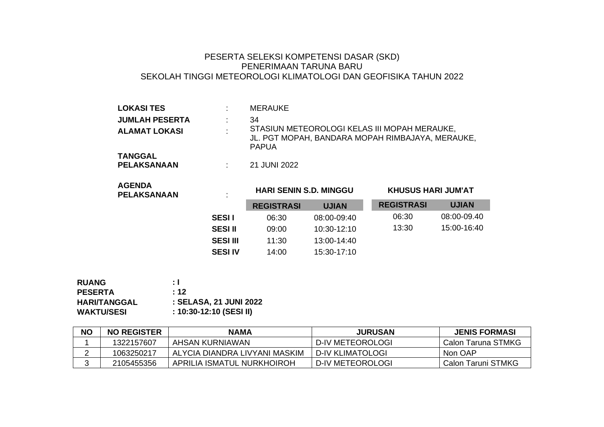## PESERTA SELEKSI KOMPETENSI DASAR (SKD) PENERIMAAN TARUNA BARU SEKOLAH TINGGI METEOROLOGI KLIMATOLOGI DAN GEOFISIKA TAHUN 2022

| <b>LOKASI TES</b>                    |        | <b>MERAUKE</b>                                                                                                   |
|--------------------------------------|--------|------------------------------------------------------------------------------------------------------------------|
| <b>JUMLAH PESERTA</b>                |        | 34                                                                                                               |
| <b>ALAMAT LOKASI</b>                 | $\sim$ | STASIUN METEOROLOGI KELAS III MOPAH MERAUKE,<br>JL. PGT MOPAH, BANDARA MOPAH RIMBAJAYA, MERAUKE,<br><b>PAPUA</b> |
| <b>TANGGAL</b><br><b>PELAKSANAAN</b> |        | 21 JUNI 2022                                                                                                     |

| <b>AGENDA</b><br><b>PELAKSANAAN</b> | ٠.<br>$\mathbf{r}$ | <b>HARI SENIN S.D. MINGGU</b> |              | <b>KHUSUS HARI JUM'AT</b> |              |
|-------------------------------------|--------------------|-------------------------------|--------------|---------------------------|--------------|
|                                     |                    | <b>REGISTRASI</b>             | <b>UJIAN</b> | <b>REGISTRASI</b>         | <b>UJIAN</b> |
| <b>SESII</b>                        |                    | 06:30                         | 08:00-09:40  | 06:30                     | 08:00-09.40  |
| <b>SESI II</b>                      |                    | 09:00                         | 10:30-12:10  | 13:30                     | 15:00-16:40  |
| <b>SESI III</b>                     |                    | 11:30                         | 13:00-14:40  |                           |              |
| <b>SESI IV</b>                      |                    | 14:00                         | 15:30-17:10  |                           |              |

| <b>RUANG</b>        | ÷ I                     |
|---------------------|-------------------------|
| <b>PESERTA</b>      | : 12                    |
| <b>HARI/TANGGAL</b> | : SELASA, 21 JUNI 2022  |
| <b>WAKTU/SESI</b>   | : 10:30-12:10 (SESI II) |

| <b>NO</b> | <b>NO REGISTER</b> | <b>NAMA</b>                   | <b>JURUSAN</b>   | <b>JENIS FORMASI</b> |
|-----------|--------------------|-------------------------------|------------------|----------------------|
|           | 1322157607         | AHSAN KURNIAWAN               | D-IV METEOROLOGI | Calon Taruna STMKG   |
|           | 1063250217         | ALYCIA DIANDRA LIVYANI MASKIM | D-IV KLIMATOLOGI | Non OAP              |
|           | 2105455356         | APRILIA ISMATUL NURKHOIROH    | D-IV METEOROLOGI | Calon Taruni STMKG   |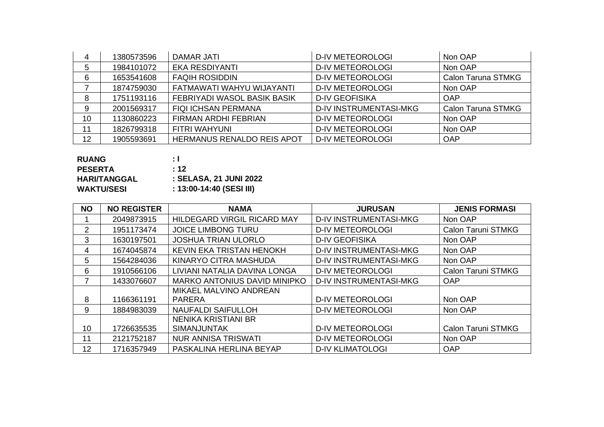| 4  | 1380573596 | <b>DAMAR JATI</b>           | <b>D-IV METEOROLOGI</b>       | Non OAP                   |
|----|------------|-----------------------------|-------------------------------|---------------------------|
| 5  | 1984101072 | EKA RESDIYANTI              | <b>D-IV METEOROLOGI</b>       | Non OAP                   |
| 6  | 1653541608 | <b>FAQIH ROSIDDIN</b>       | <b>D-IV METEOROLOGI</b>       | <b>Calon Taruna STMKG</b> |
|    | 1874759030 | FATMAWATI WAHYU WIJAYANTI   | <b>D-IV METEOROLOGI</b>       | Non OAP                   |
| 8  | 1751193116 | FEBRIYADI WASOL BASIK BASIK | <b>D-IV GEOFISIKA</b>         | <b>OAP</b>                |
| 9  | 2001569317 | <b>FIQI ICHSAN PERMANA</b>  | <b>D-IV INSTRUMENTASI-MKG</b> | <b>Calon Taruna STMKG</b> |
| 10 | 1130860223 | FIRMAN ARDHI FEBRIAN        | <b>D-IV METEOROLOGI</b>       | Non OAP                   |
| 11 | 1826799318 | FITRI WAHYUNI               | <b>D-IV METEOROLOGI</b>       | Non OAP                   |
| 12 | 1905593691 | HERMANUS RENALDO REIS APOT  | <b>D-IV METEOROLOGI</b>       | <b>OAP</b>                |

| ÷ I                      |
|--------------------------|
| : 12                     |
| : SELASA, 21 JUNI 2022   |
| : 13:00-14:40 (SESI III) |
|                          |

| <b>NO</b>     | <b>NO REGISTER</b> | <b>NAMA</b>                         | <b>JURUSAN</b>                | <b>JENIS FORMASI</b>      |
|---------------|--------------------|-------------------------------------|-------------------------------|---------------------------|
|               | 2049873915         | <b>HILDEGARD VIRGIL RICARD MAY</b>  | <b>D-IV INSTRUMENTASI-MKG</b> | Non OAP                   |
| $\mathcal{P}$ | 1951173474         | <b>JOICE LIMBONG TURU</b>           | <b>D-IV METEOROLOGI</b>       | <b>Calon Taruni STMKG</b> |
| 3             | 1630197501         | <b>JOSHUA TRIAN ULORLO</b>          | <b>D-IV GEOFISIKA</b>         | Non OAP                   |
| 4             | 1674045874         | KEVIN EKA TRISTAN HENOKH            | <b>D-IV INSTRUMENTASI-MKG</b> | Non OAP                   |
| 5             | 1564284036         | KINARYO CITRA MASHUDA               | <b>D-IV INSTRUMENTASI-MKG</b> | Non OAP                   |
| 6             | 1910566106         | LIVIANI NATALIA DAVINA LONGA        | <b>D-IV METEOROLOGI</b>       | <b>Calon Taruni STMKG</b> |
|               | 1433076607         | <b>MARKO ANTONIUS DAVID MINIPKO</b> | <b>D-IV INSTRUMENTASI-MKG</b> | <b>OAP</b>                |
|               |                    | MIKAEL MALVINO ANDREAN              |                               |                           |
| 8             | 1166361191         | <b>PARERA</b>                       | <b>D-IV METEOROLOGI</b>       | Non OAP                   |
| 9             | 1884983039         | <b>NAUFALDI SAIFULLOH</b>           | <b>D-IV METEOROLOGI</b>       | Non OAP                   |
|               |                    | <b>NENIKA KRISTIANI BR</b>          |                               |                           |
| 10            | 1726635535         | <b>SIMANJUNTAK</b>                  | <b>D-IV METEOROLOGI</b>       | <b>Calon Taruni STMKG</b> |
| 11            | 2121752187         | <b>NUR ANNISA TRISWATI</b>          | <b>D-IV METEOROLOGI</b>       | Non OAP                   |
| 12            | 1716357949         | PASKALINA HERLINA BEYAP             | <b>D-IV KLIMATOLOGI</b>       | <b>OAP</b>                |